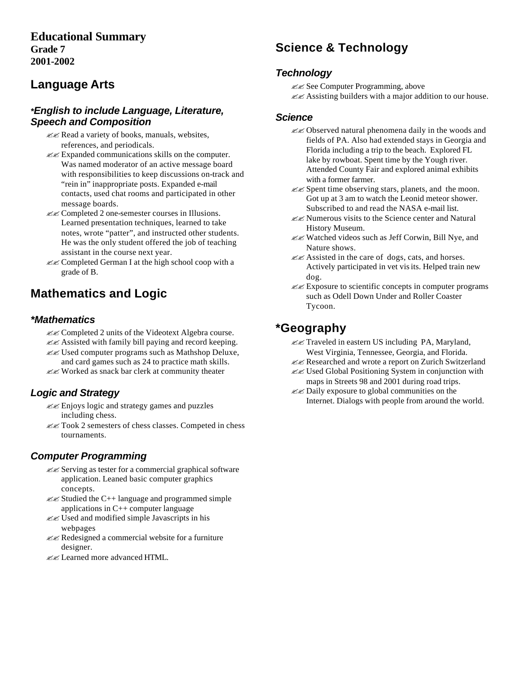## **Educational Summary Grade 7 2001-2002**

## **Language Arts**

#### *\*English to include Language, Literature, Speech and Composition*

- ?? Read a variety of books, manuals, websites, references, and periodicals.
- $\mathcal{Z} \mathcal{Z}$  Expanded communications skills on the computer. Was named moderator of an active message board with responsibilities to keep discussions on-track and "rein in" inappropriate posts. Expanded e-mail contacts, used chat rooms and participated in other message boards.
- ?? Completed 2 one-semester courses in Illusions. Learned presentation techniques, learned to take notes, wrote "patter", and instructed other students. He was the only student offered the job of teaching assistant in the course next year.
- ?? Completed German I at the high school coop with a grade of B.

# **Mathematics and Logic**

### *\*Mathematics*

- ?? Completed 2 units of the Videotext Algebra course.  $\mathcal{Z}$  Assisted with family bill paying and record keeping.
- $\mathcal{Z}$  Used computer programs such as Mathshop Deluxe, and card games such as 24 to practice math skills.
- ?? Worked as snack bar clerk at community theater

## *Logic and Strategy*

- ?? Enjoys logic and strategy games and puzzles including chess.
- ?? Took 2 semesters of chess classes. Competed in chess tournaments.

## *Computer Programming*

- ?? Serving as tester for a commercial graphical software application. Leaned basic computer graphics concepts.
- $\mathcal{Z}$  Studied the C++ language and programmed simple applications in C++ computer language
- $\mathcal{Z}$  Used and modified simple Javascripts in his webpages
- ?? Redesigned a commercial website for a furniture designer.
- ?? Learned more advanced HTML.

# **Science & Technology**

### *Technology*

?? See Computer Programming, above  $\ll$  Assisting builders with a major addition to our house.

#### *Science*

- ?? Observed natural phenomena daily in the woods and fields of PA. Also had extended stays in Georgia and Florida including a trip to the beach. Explored FL lake by rowboat. Spent time by the Yough river. Attended County Fair and explored animal exhibits with a former farmer.
- $\mathcal{Z} \mathcal{Z}$  Spent time observing stars, planets, and the moon. Got up at 3 am to watch the Leonid meteor shower. Subscribed to and read the NASA e-mail list.
- $\mathscr{B}$  Numerous visits to the Science center and Natural History Museum.
- ?? Watched videos such as Jeff Corwin, Bill Nye, and Nature shows.
- ?? Assisted in the care of dogs, cats, and horses. Actively participated in vet visits. Helped train new dog.
- $\mathscr{L}\mathscr{L}$  Exposure to scientific concepts in computer programs such as Odell Down Under and Roller Coaster Tycoon.

# **\*Geography**

- $\mathbb{Z}$  Traveled in eastern US including PA, Maryland, West Virginia, Tennessee, Georgia, and Florida.
- ?? Researched and wrote a report on Zurich Switzerland
- ?? Used Global Positioning System in conjunction with maps in Streets 98 and 2001 during road trips.
- ?? Daily exposure to global communities on the Internet. Dialogs with people from around the world.